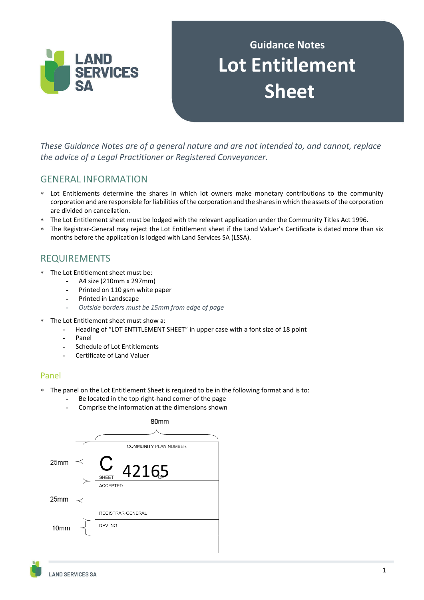

# **Guidance Notes Lot Entitlement Sheet**

*These Guidance Notes are of a general nature and are not intended to, and cannot, replace the advice of a Legal Practitioner or Registered Conveyancer.* 

# GENERAL INFORMATION

- Lot Entitlements determine the shares in which lot owners make monetary contributions to the community corporation and are responsible for liabilities of the corporation and the shares in which the assets of the corporation are divided on cancellation.
- The Lot Entitlement sheet must be lodged with the relevant application under the Community Titles Act 1996.
- The Registrar-General may reject the Lot Entitlement sheet if the Land Valuer's Certificate is dated more than six months before the application is lodged with Land Services SA (LSSA).

# REQUIREMENTS

- The Lot Entitlement sheet must be:
	- **-** A4 size (210mm x 297mm)
	- **-** Printed on 110 gsm white paper
	- **-** Printed in Landscape
	- **-**  *Outside borders must be 15mm from edge of page*
- The Lot Entitlement sheet must show a:
	- **-** Heading of "LOT ENTITLEMENT SHEET" in upper case with a font size of 18 point
	- **-** Panel
	- **-** Schedule of Lot Entitlements
	- **-** Certificate of Land Valuer

#### Panel

- The panel on the Lot Entitlement Sheet is required to be in the following format and is to:
	- **-** Be located in the top right-hand corner of the page
	- **-** Comprise the information at the dimensions shown

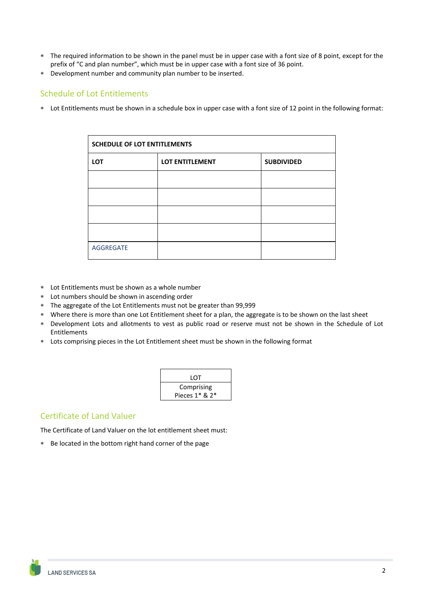- The required information to be shown in the panel must be in upper case with a font size of 8 point, except for the prefix of "C and plan number", which must be in upper case with a font size of 36 point.
- Development number and community plan number to be inserted.

## Schedule of Lot Entitlements

Lot Entitlements must be shown in a schedule box in upper case with a font size of 12 point in the following format:

| <b>SCHEDULE OF LOT ENTITLEMENTS</b> |                        |                   |
|-------------------------------------|------------------------|-------------------|
| <b>LOT</b>                          | <b>LOT ENTITLEMENT</b> | <b>SUBDIVIDED</b> |
|                                     |                        |                   |
|                                     |                        |                   |
|                                     |                        |                   |
|                                     |                        |                   |
| <b>AGGREGATE</b>                    |                        |                   |

- Lot Entitlements must be shown as a whole number
- Lot numbers should be shown in ascending order
- The aggregate of the Lot Entitlements must not be greater than 99,999
- Where there is more than one Lot Entitlement sheet for a plan, the aggregate is to be shown on the last sheet
- Development Lots and allotments to vest as public road or reserve must not be shown in the Schedule of Lot Entitlements
- Lots comprising pieces in the Lot Entitlement sheet must be shown in the following format

| LOT              |  |
|------------------|--|
| Comprising       |  |
| Pieces $1* 8 7*$ |  |

## Certificate of Land Valuer

The Certificate of Land Valuer on the lot entitlement sheet must:

Be located in the bottom right hand corner of the page